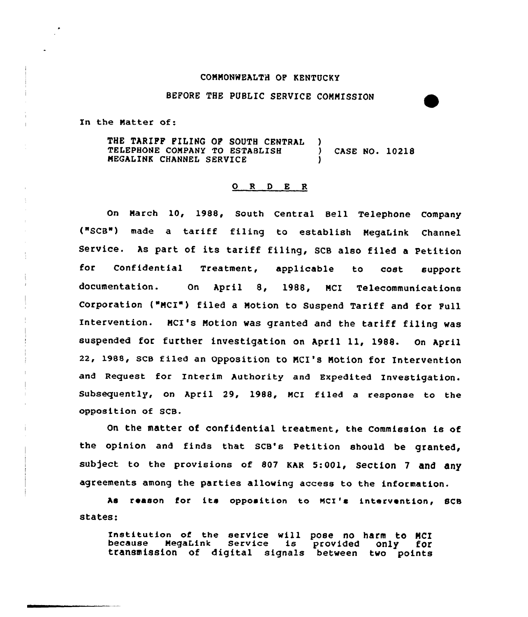## COMMONWEALTH OP KENTUCKY

BEFORE THE PUBLIC SERVICE COMMISSION

In the Matter of:

THE TARIPP PILING OP SOUTH CENTRAL TELEPHONE COMPANY TO ESTABLISH MEGALINK CHANNEL SERVICE ) ) CASE NO. 1021& )

## O R D E R

On March 10, 1988, South Central Bell Telephone Company ("SCB") made a tariff filing to establish MegaLink Channel Service. As part of its tariff filing, SCB also filed <sup>a</sup> Petition for Confidential Treatment, applicable to cost support documentation. On April 8, 1988, NCI Telecommunications Corporation ("MCI") filed a Motion to Suspend Tariff and for Pull Intervention. MCI's Notion was granted and the tariff filing was suspended for further investigation on April 11, 1988. On April 22, 198&, scs filed an opposition to NcI's Notion for Intervention and Request for Interim Authority and Expedited Investigation. Subsequently, on April 29, 1988, MCI filed a response to the opposition of SCB.

On the matter of confidential treatment, the Commission is of the opinion and finds that SCB's Petition should be granted, subject to the provisions of 807 KAR 5:001, Section 7 and any agreements among the parties allowing access to the information.

As reason for its opposition to MCI's intervention, SCB states:

Institution of the service will pose no harm to MCI<br>because MegaLink Service is provided only for<br>transmission of digital signals between two points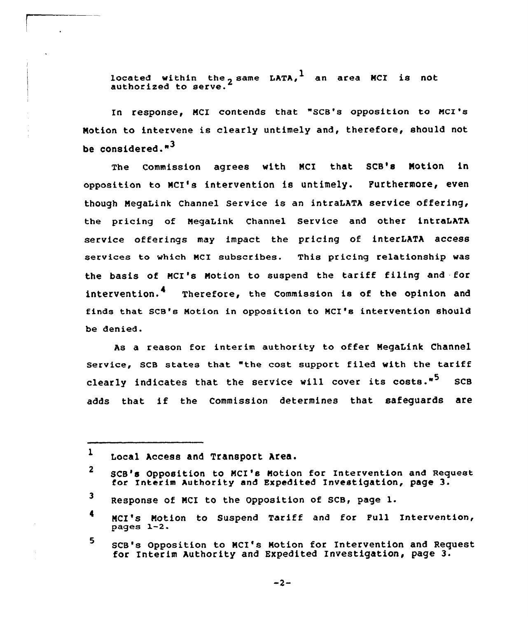located within the same LATA,  $^1$  an area MCI is not authorized to serve.

In response, MCI contends that "SCB's opposition to MCI's Notion to intervene is clearly untimely and, therefore, should not be considered."3

The Commission agrees with MCI that SCB's Motion in opposition to NCI's intervention is untimely. Purthermore, even though NegaLink Channel Service is an intraLATA service offering, the pricing of NegaLink Channel Service and other intraLATA service offerings may impact the pricing of interLATA access services to which MCI subscribes. This pricing relationship was the basis of MCI's Motion to suspend the tariff filing and for intervention.<sup>4</sup> Therefore, the Commission is of the opinion and finds that SCB's Motion in opposition to MCI's intervention should be denied.

As a reason for interim authority to offer MegaLink Channel service, SCB states that "the cost support filed with the tariff clearly indicates that the service will cover its costs."<sup>5</sup> SCB adds that if the Commission determines that safeguards are

 $-2-$ 

 $\mathbf{1}$ Local Access and Transport Area.

 $\mathbf{2}$ scB's opposition to NcI's Notion for Intervention and Request for Interim Authority and Expedited Investigation, page 3.

<sup>3</sup> Response of MCI to the Opposition of SCB, page l.

<sup>4</sup> NcI's Notion to suspend Tariff and for pull Intervention, pagea 1-2.

<sup>5</sup> SCB's Opposition to MCI's Notion for Intervention and Request for Interim Authority and Expedited Investigation, page 3.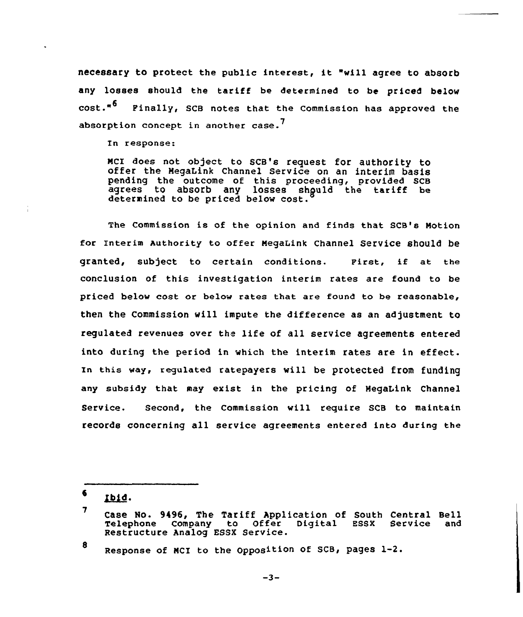necessary to protect the public interest, it "will agree to absorb any losses should the tariff be determined to be priced below cost.<sup>"</sup> Pinally, SCB notes that the Commission has approved the absorption concept in another case.<sup>'</sup>

In response:

McI does not object to scB's request for authority to offer the MegaLink Channel Service on an interim basis pending the outcome of this proceeding, provided SCB agrees to absorb any losses should the tariff be determined to be priced below cost.

The Commission is of the opinion and finds that SCB's Motion for Interim Authority to offer MegaLink channel service should be granted, subject to certain conditions. First, if at the conclusion of this investigation interim rates are found to be priced below cost or below rates that are found to be reasonable, then the Commission will impute the difference as an adjustment to regulated revenues over the life of all service agreements entered into during the period in which the interim rates are in effect. In this way, regulated ratepayers will be protected from fUnding any subsidy that may exist in the pricing of MegaLink Channel Service. Second, the Commission will require SCB to maintain records concerning all service agreements entered into during the

6. ibid.

8 Response of MCI to the Opposition of SCB, pages 1-2.

 $-3-$ 

<sup>7</sup> Case No. 9496, The Tariff Application of South Central Bell Telephone Company to Offer Digital ESSX Service and Telephone Company to Offer<br>Restructure Analog ESSX Service.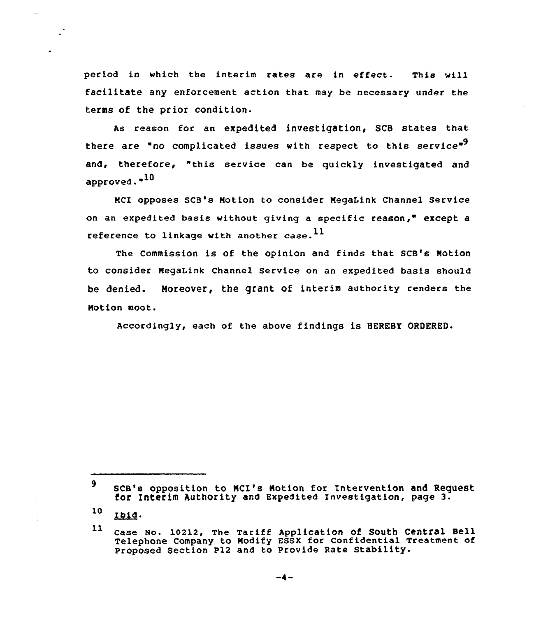period in which the interim rates are in effect. This will facilitate any enforcement action that may be necessary under the terms of the prior condition.

As reason for an expedited investigation, SCB states that there are "no complicated issues with respect to this service"<sup>9</sup> and, therefore, "this service can be quickly investigated and approved."<sup>10</sup>

NCI opposes SCB's Motion to consider MegaLink Channel Service on an expedited basis without giving a specific reason," except a reference to linkage with another case.  $^{11}$ 

The Commission is of the opinion and finds that SCB's Notion to consider NegaLink Channel Service on an expedited basis should be denied. Moreover, the grant of interim authority renders the Notion moot.

Accordingly, each of the above findings is HEREBY ORDERED.

<sup>9</sup> SCB's opposition to NCI's Notion for Intervention and Request for Interim Authority and Expedited Investigation, page 3.

<sup>10</sup> Ibid.

<sup>11</sup> Case Mo. 10212, The Tariff APPliCatiOn Of South Central Sell Telephone company to Nodify Essx for confidential Treatment of Proposed Section P12 and to Provide Rate Stability.